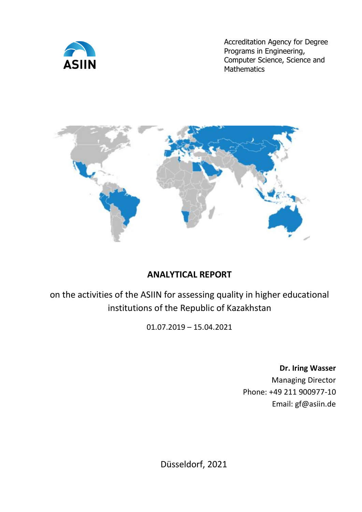

Accreditation Agency for Degree Programs in Engineering, Computer Science, Science and **Mathematics** 



# **ANALYTICAL REPORT**

on the activities of the ASIIN for assessing quality in higher educational institutions of the Republic of Kazаkhstan

01.07.2019 – 15.04.2021

**Dr. Iring Wasser**

Managing Director Phone: +49 211 900977-10 Email: [gf@asiin.de](mailto:gf@asiin.de)

Düsseldorf, 2021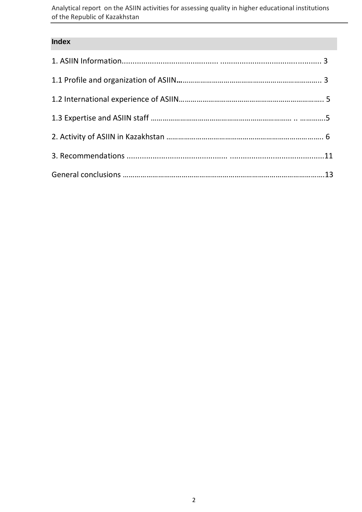Analytical report on the ASIIN activities for assessing quality in higher educational institutions of the Republic of Kazаkhstan

#### **Index**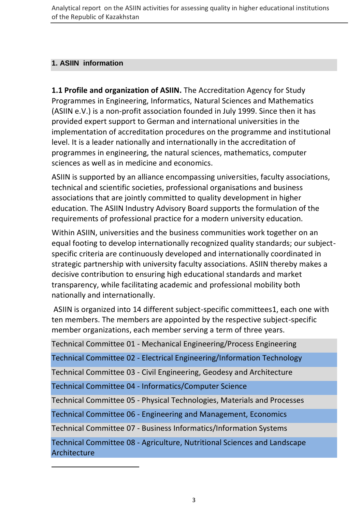#### **1. ASIIN information**

**1.1 Profile and organization of ASIIN.** The Accreditation Agency for Study Programmes in Engineering, Informatics, Natural Sciences and Mathematics (ASIIN e.V.) is a non-profit association founded in July 1999. Since then it has provided expert support to German and international universities in the implementation of accreditation procedures on the programme and institutional level. It is a leader nationally and internationally in the accreditation of programmes in engineering, the natural sciences, mathematics, computer sciences as well as in medicine and economics.

ASIIN is supported by an alliance encompassing universities, faculty associations, technical and scientific societies, professional organisations and business associations that are jointly committed to quality development in higher education. The ASIIN Industry Advisory Board supports the formulation of the requirements of professional practice for a modern university education.

Within ASIIN, universities and the business communities work together on an equal footing to develop internationally recognized quality standards; our subjectspecific criteria are continuously developed and internationally coordinated in strategic partnership with university faculty associations. ASIIN thereby makes a decisive contribution to ensuring high educational standards and market transparency, while facilitating academic and professional mobility both nationally and internationally.

ASIIN is organized into 14 different subject-specific committees1, each one with ten members. The members are appointed by the respective subject-specific member organizations, each member serving a term of three years.

Technical Committee 01 - Mechanical Engineering/Process Engineering

Technical Committee 02 - Electrical Engineering/Information Technology

Technical Committee 03 - Civil Engineering, Geodesy and Architecture

Technical Committee 04 - Informatics/Computer Science

1

Technical Committee 05 - Physical Technologies, Materials and Processes

Technical Committee 06 - Engineering and Management, Economics

Technical Committee 07 - Business Informatics/Information Systems

Technical Committee 08 - Agriculture, Nutritional Sciences and Landscape Architecture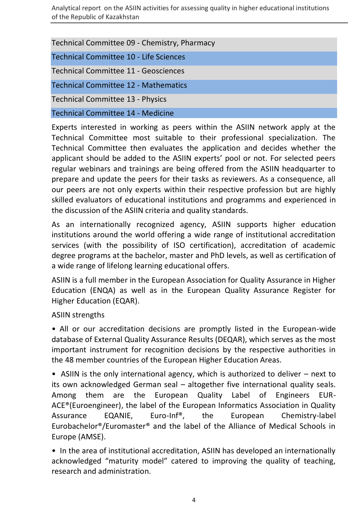| Technical Committee 09 - Chemistry, Pharmacy |
|----------------------------------------------|
| Technical Committee 10 - Life Sciences       |
| <b>Technical Committee 11 - Geosciences</b>  |
| <b>Technical Committee 12 - Mathematics</b>  |
| <b>Technical Committee 13 - Physics</b>      |
| <b>Technical Committee 14 - Medicine</b>     |

Experts interested in working as peers within the ASIIN network apply at the Technical Committee most suitable to their professional specialization. The Technical Committee then evaluates the application and decides whether the applicant should be added to the ASIIN experts' pool or not. For selected peers regular webinars and trainings are being offered from the ASIIN headquarter to prepare and update the peers for their tasks as reviewers. As a consequence, all our peers are not only experts within their respective profession but are highly skilled evaluators of educational institutions and programms and experienced in the discussion of the ASIIN criteria and quality standards.

As an internationally recognized agency, ASIIN supports higher education institutions around the world offering a wide range of institutional accreditation services (with the possibility of ISO certification), accreditation of academic degree programs at the bachelor, master and PhD levels, as well as certification of a wide range of lifelong learning educational offers.

ASIIN is a full member in the European Association for Quality Assurance in Higher Education (ENQA) as well as in the European Quality Assurance Register for Higher Education (EQAR).

ASIIN strengths

• All or our accreditation decisions are promptly listed in the European-wide database of External Quality Assurance Results (DEQAR), which serves as the most important instrument for recognition decisions by the respective authorities in the 48 member countries of the European Higher Education Areas.

• ASIIN is the only international agency, which is authorized to deliver – next to its own acknowledged German seal – altogether five international quality seals. Among them are the European Quality Label of Engineers EUR-ACE®(Euroengineer), the label of the European Informatics Association in Quality Assurance EQANIE, Euro-Inf®, the European Chemistry-label Eurobachelor®/Euromaster® and the label of the Alliance of Medical Schools in Europe (AMSE).

• In the area of institutional accreditation, ASIIN has developed an internationally acknowledged "maturity model" catered to improving the quality of teaching, research and administration.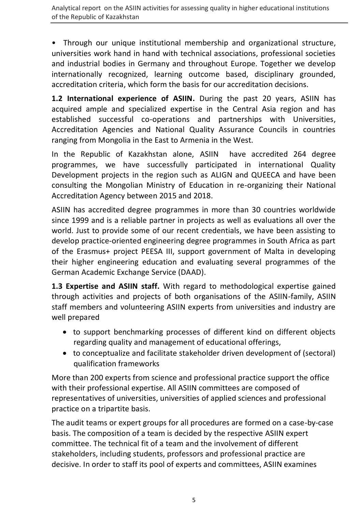• Through our unique institutional membership and organizational structure, universities work hand in hand with technical associations, professional societies and industrial bodies in Germany and throughout Europe. Together we develop internationally recognized, learning outcome based, disciplinary grounded, accreditation criteria, which form the basis for our accreditation decisions.

**1.2 International experience of ASIIN.** During the past 20 years, ASIIN has acquired ample and specialized expertise in the Central Asia region and has established successful co-operations and partnerships with Universities, Accreditation Agencies and National Quality Assurance Councils in countries ranging from Mongolia in the East to Armenia in the West.

In the Republic of Kazakhstan alone, ASIIN have accredited 264 degree programmes, we have successfully participated in international Quality Development projects in the region such as ALIGN and QUEECA and have been consulting the Mongolian Ministry of Education in re-organizing their National Accreditation Agency between 2015 and 2018.

ASIIN has accredited degree programmes in more than 30 countries worldwide since 1999 and is a reliable partner in projects as well as evaluations all over the world. Just to provide some of our recent credentials, we have been assisting to develop practice-oriented engineering degree programmes in South Africa as part of the Erasmus+ project PEESA III, support government of Malta in developing their higher engineering education and evaluating several programmes of the German Academic Exchange Service (DAAD).

**1.3 Expertise and ASIIN staff.** With regard to methodological expertise gained through activities and projects of both organisations of the ASIIN-family, ASIIN staff members and volunteering ASIIN experts from universities and industry are well prepared

- to support benchmarking processes of different kind on different objects regarding quality and management of educational offerings,
- to conceptualize and facilitate stakeholder driven development of (sectoral) qualification frameworks

More than 200 experts from science and professional practice support the office with their professional expertise. All ASIIN committees are composed of representatives of universities, universities of applied sciences and professional practice on a tripartite basis.

The audit teams or expert groups for all procedures are formed on a case-by-case basis. The composition of a team is decided by the respective [ASIIN expert](https://www.asiin.de/en/technical-committees.html)  [committee.](https://www.asiin.de/en/technical-committees.html) The technical fit of a team and the involvement of different stakeholders, including students, professors and professional practice are decisive. In order to staff its pool of experts and committees, ASIIN examines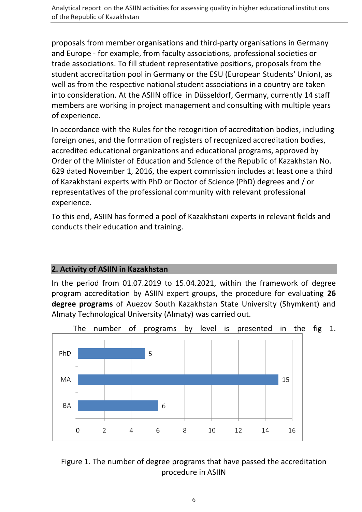proposals from member organisations and third-party organisations in Germany and Europe - for example, from faculty associations, professional societies or trade associations. To fill student representative positions, proposals from the student accreditation pool in Germany or the ESU (European Students' Union), as well as from the respective national student associations in a country are taken into consideration. At the ASIIN office in Düsseldorf, Germany, currently 14 staff members are working in project management and consulting with multiple years of experience.

In accordance with the Rules for the recognition of accreditation bodies, including foreign ones, and the formation of registers of recognized accreditation bodies, accredited educational organizations and educational programs, approved by Order of the Minister of Education and Science of the Republic of Kazakhstan No. 629 dated November 1, 2016, the expert commission includes at least one a third of Kazakhstani experts with PhD or Doctor of Science (PhD) degrees and / or representatives of the professional community with relevant professional experience.

To this end, ASIIN has formed a pool of Kazakhstani experts in relevant fields and conducts their education and training.

## **2. Activity of ASIIN in Kazakhstan**

In the period from 01.07.2019 to 15.04.2021, within the framework of degree program accreditation by ASIIN expert groups, the procedure for evaluating **26 degree programs** of Auezov South Kazakhstan State University (Shymkent) and Almaty Technological University (Almaty) was carried out.



#### Figure 1. The number of degree programs that have passed the accreditation procedure in ASIIN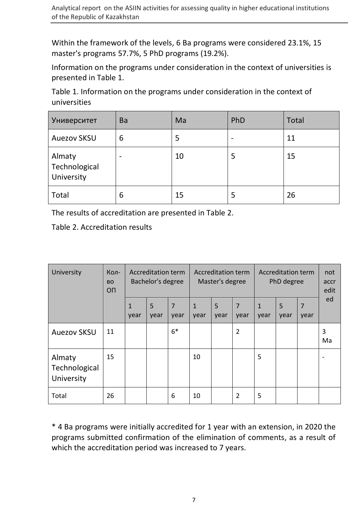Within the framework of the levels, 6 Ba programs were considered 23.1%, 15 master's programs 57.7%, 5 PhD programs (19.2%).

Information on the programs under consideration in the context of universities is presented in Table 1.

Table 1. Information on the programs under consideration in the context of universities

| <b>Университет</b>                    | <b>Ba</b>                | Ma | PhD | <b>Total</b> |
|---------------------------------------|--------------------------|----|-----|--------------|
| <b>Auezov SKSU</b>                    | 6                        | 5  |     | 11           |
| Almaty<br>Technological<br>University | $\overline{\phantom{a}}$ | 10 | 5   | 15           |
| Total                                 | 6                        | 15 | 5   | 26           |

The results of accreditation are presented in Table 2.

Table 2. Accreditation results

| University                            | Кол-<br><b>BO</b><br>OП | <b>Accreditation term</b><br>Bachelor's degree |           | <b>Accreditation term</b><br>Master's degree |                      | <b>Accreditation term</b><br>PhD degree |                        |                      | not<br>accr<br>edit |                        |         |
|---------------------------------------|-------------------------|------------------------------------------------|-----------|----------------------------------------------|----------------------|-----------------------------------------|------------------------|----------------------|---------------------|------------------------|---------|
|                                       |                         | 1<br>year                                      | 5<br>year | $\overline{7}$<br>year                       | $\mathbf{1}$<br>year | 5<br>year                               | $\overline{7}$<br>year | $\mathbf{1}$<br>year | 5<br>year           | $\overline{7}$<br>year | ed      |
| <b>Auezov SKSU</b>                    | 11                      |                                                |           | $6*$                                         |                      |                                         | $\overline{2}$         |                      |                     |                        | 3<br>Ma |
| Almaty<br>Technological<br>University | 15                      |                                                |           |                                              | 10                   |                                         |                        | 5                    |                     |                        |         |
| Total                                 | 26                      |                                                |           | 6                                            | 10                   |                                         | $\overline{2}$         | 5                    |                     |                        |         |

\* 4 Ba programs were initially accredited for 1 year with an extension, in 2020 the programs submitted confirmation of the elimination of comments, as a result of which the accreditation period was increased to 7 years.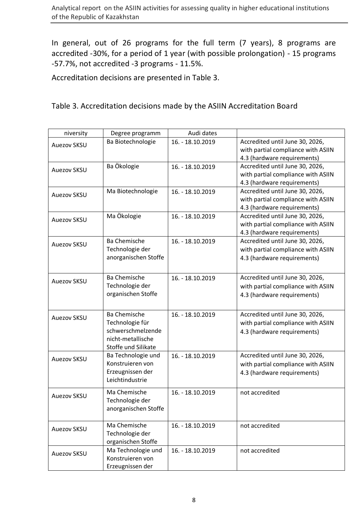In general, out of 26 programs for the full term (7 years), 8 programs are accredited -30%, for a period of 1 year (with possible prolongation) - 15 programs -57.7%, not accredited -3 programs - 11.5%.

Accreditation decisions are presented in Table 3.

#### Table 3. Accreditation decisions made by the ASIIN Accreditation Board

| niversity          | Degree programm                                                                                         | Audi dates       |                                                                                                      |
|--------------------|---------------------------------------------------------------------------------------------------------|------------------|------------------------------------------------------------------------------------------------------|
| <b>Auezov SKSU</b> | Ba Biotechnologie                                                                                       | 16. - 18.10.2019 | Accredited until June 30, 2026,<br>with partial compliance with ASIIN<br>4.3 (hardware requirements) |
| <b>Auezov SKSU</b> | Ba Ökologie                                                                                             | 16. - 18.10.2019 | Accredited until June 30, 2026,<br>with partial compliance with ASIIN<br>4.3 (hardware requirements) |
| <b>Auezov SKSU</b> | Ma Biotechnologie                                                                                       | 16. - 18.10.2019 | Accredited until June 30, 2026,<br>with partial compliance with ASIIN<br>4.3 (hardware requirements) |
| <b>Auezov SKSU</b> | Ma Ökologie                                                                                             | 16. - 18.10.2019 | Accredited until June 30, 2026,<br>with partial compliance with ASIIN<br>4.3 (hardware requirements) |
| <b>Auezov SKSU</b> | <b>Ba Chemische</b><br>Technologie der<br>anorganischen Stoffe                                          | 16. - 18.10.2019 | Accredited until June 30, 2026,<br>with partial compliance with ASIIN<br>4.3 (hardware requirements) |
| Auezov SKSU        | Ba Chemische<br>Technologie der<br>organischen Stoffe                                                   | 16. - 18.10.2019 | Accredited until June 30, 2026,<br>with partial compliance with ASIIN<br>4.3 (hardware requirements) |
| <b>Auezov SKSU</b> | <b>Ba Chemische</b><br>Technologie für<br>schwerschmelzende<br>nicht-metallische<br>Stoffe und Silikate | 16. - 18.10.2019 | Accredited until June 30, 2026,<br>with partial compliance with ASIIN<br>4.3 (hardware requirements) |
| Auezov SKSU        | Ba Technologie und<br>Konstruieren von<br>Erzeugnissen der<br>Leichtindustrie                           | 16. - 18.10.2019 | Accredited until June 30, 2026,<br>with partial compliance with ASIIN<br>4.3 (hardware requirements) |
| <b>Auezov SKSU</b> | Ma Chemische<br>Technologie der<br>anorganischen Stoffe                                                 | 16. - 18.10.2019 | not accredited                                                                                       |
| Auezov SKSU        | Ma Chemische<br>Technologie der<br>organischen Stoffe                                                   | 16. - 18.10.2019 | not accredited                                                                                       |
| <b>Auezov SKSU</b> | Ma Technologie und<br>Konstruieren von<br>Erzeugnissen der                                              | 16. - 18.10.2019 | not accredited                                                                                       |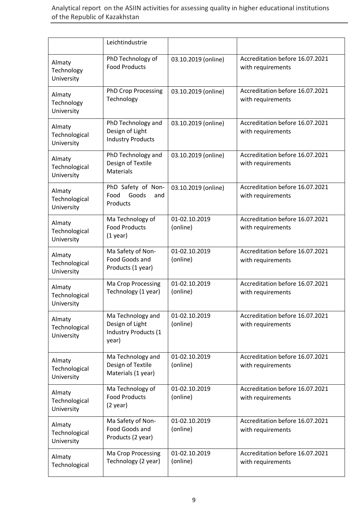|                                       | Leichtindustrie                                                              |                           |                                                      |
|---------------------------------------|------------------------------------------------------------------------------|---------------------------|------------------------------------------------------|
| Almaty<br>Technology<br>University    | PhD Technology of<br><b>Food Products</b>                                    | 03.10.2019 (online)       | Accreditation before 16.07.2021<br>with requirements |
| Almaty<br>Technology<br>University    | <b>PhD Crop Processing</b><br>Technology                                     | 03.10.2019 (online)       | Accreditation before 16.07.2021<br>with requirements |
| Almaty<br>Technological<br>University | PhD Technology and<br>Design of Light<br><b>Industry Products</b>            | 03.10.2019 (online)       | Accreditation before 16.07.2021<br>with requirements |
| Almaty<br>Technological<br>University | PhD Technology and<br>Design of Textile<br><b>Materials</b>                  | 03.10.2019 (online)       | Accreditation before 16.07.2021<br>with requirements |
| Almaty<br>Technological<br>University | PhD Safety of Non-<br>Food<br>Goods<br>and<br>Products                       | 03.10.2019 (online)       | Accreditation before 16.07.2021<br>with requirements |
| Almaty<br>Technological<br>University | Ma Technology of<br><b>Food Products</b><br>$(1$ year)                       | 01-02.10.2019<br>(online) | Accreditation before 16.07.2021<br>with requirements |
| Almaty<br>Technological<br>University | Ma Safety of Non-<br>Food Goods and<br>Products (1 year)                     | 01-02.10.2019<br>(online) | Accreditation before 16.07.2021<br>with requirements |
| Almaty<br>Technological<br>University | Ma Crop Processing<br>Technology (1 year)                                    | 01-02.10.2019<br>(online) | Accreditation before 16.07.2021<br>with requirements |
| Almaty<br>Technological<br>University | Ma Technology and<br>Design of Light<br><b>Industry Products (1</b><br>year) | 01-02.10.2019<br>(online) | Accreditation before 16.07.2021<br>with requirements |
| Almaty<br>Technological<br>University | Ma Technology and<br>Design of Textile<br>Materials (1 year)                 | 01-02.10.2019<br>(online) | Accreditation before 16.07.2021<br>with requirements |
| Almaty<br>Technological<br>University | Ma Technology of<br><b>Food Products</b><br>$(2 \text{ year})$               | 01-02.10.2019<br>(online) | Accreditation before 16.07.2021<br>with requirements |
| Almaty<br>Technological<br>University | Ma Safety of Non-<br>Food Goods and<br>Products (2 year)                     | 01-02.10.2019<br>(online) | Accreditation before 16.07.2021<br>with requirements |
| Almaty<br>Technological               | Ma Crop Processing<br>Technology (2 year)                                    | 01-02.10.2019<br>(online) | Accreditation before 16.07.2021<br>with requirements |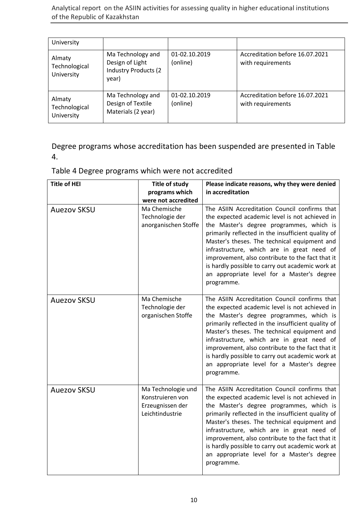Analytical report on the ASIIN activities for assessing quality in higher educational institutions of the Republic of Kazаkhstan

| University                            |                                                                               |                           |                                                      |
|---------------------------------------|-------------------------------------------------------------------------------|---------------------------|------------------------------------------------------|
| Almaty<br>Technological<br>University | Ma Technology and<br>Design of Light<br><b>Industry Products (2)</b><br>year) | 01-02.10.2019<br>(online) | Accreditation before 16.07.2021<br>with requirements |
| Almaty<br>Technological<br>University | Ma Technology and<br>Design of Textile<br>Materials (2 year)                  | 01-02.10.2019<br>(online) | Accreditation before 16.07.2021<br>with requirements |

Degree programs whose accreditation has been suspended are presented in Table 4.

Table 4 Degree programs which were not accredited

| <b>Title of HEI</b> | Title of study<br>programs which<br>were not accredited                       | Please indicate reasons, why they were denied<br>in accreditation                                                                                                                                                                                                                                                                                                                                                                                                   |
|---------------------|-------------------------------------------------------------------------------|---------------------------------------------------------------------------------------------------------------------------------------------------------------------------------------------------------------------------------------------------------------------------------------------------------------------------------------------------------------------------------------------------------------------------------------------------------------------|
| <b>Auezov SKSU</b>  | Ma Chemische<br>Technologie der<br>anorganischen Stoffe                       | The ASIIN Accreditation Council confirms that<br>the expected academic level is not achieved in<br>the Master's degree programmes, which is<br>primarily reflected in the insufficient quality of<br>Master's theses. The technical equipment and<br>infrastructure, which are in great need of<br>improvement, also contribute to the fact that it<br>is hardly possible to carry out academic work at<br>an appropriate level for a Master's degree<br>programme. |
| <b>Auezov SKSU</b>  | Ma Chemische<br>Technologie der<br>organischen Stoffe                         | The ASIIN Accreditation Council confirms that<br>the expected academic level is not achieved in<br>the Master's degree programmes, which is<br>primarily reflected in the insufficient quality of<br>Master's theses. The technical equipment and<br>infrastructure, which are in great need of<br>improvement, also contribute to the fact that it<br>is hardly possible to carry out academic work at<br>an appropriate level for a Master's degree<br>programme. |
| <b>Auezov SKSU</b>  | Ma Technologie und<br>Konstruieren von<br>Erzeugnissen der<br>Leichtindustrie | The ASIIN Accreditation Council confirms that<br>the expected academic level is not achieved in<br>the Master's degree programmes, which is<br>primarily reflected in the insufficient quality of<br>Master's theses. The technical equipment and<br>infrastructure, which are in great need of<br>improvement, also contribute to the fact that it<br>is hardly possible to carry out academic work at<br>an appropriate level for a Master's degree<br>programme. |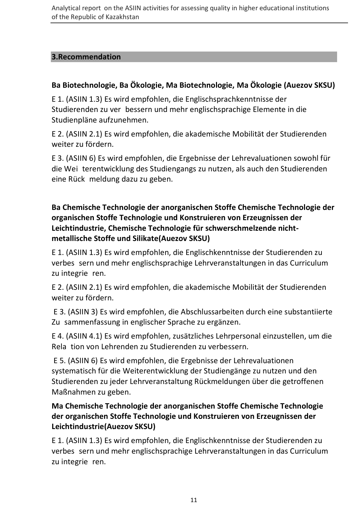#### **3.Recommendation**

# **Ba Biotechnologie, Ba Ökologie, Ma Biotechnologie, Мa Ökologie (Auezov SKSU)**

E 1. (ASIIN 1.3) Es wird empfohlen, die Englischsprachkenntnisse der Studierenden zu ver bessern und mehr englischsprachige Elemente in die Studienpläne aufzunehmen.

E 2. (ASIIN 2.1) Es wird empfohlen, die akademische Mobilität der Studierenden weiter zu fördern.

E 3. (ASIIN 6) Es wird empfohlen, die Ergebnisse der Lehrevaluationen sowohl für die Wei-terentwicklung des Studiengangs zu nutzen, als auch den Studierenden eine Rück-meldung dazu zu geben.

# **Ва Chemische Technologie der anorganischen Stoffe Chemische Technologie der organischen Stoffe Technologie und Konstruieren von Erzeugnissen der Leichtindustrie, Chemische Technologie für schwerschmelzende nichtmetallische Stoffe und Silikate(Auezov SKSU)**

E 1. (ASIIN 1.3) Es wird empfohlen, die Englischkenntnisse der Studierenden zu verbes-sern und mehr englischsprachige Lehrveranstaltungen in das Curriculum zu integrie ren.

E 2. (ASIIN 2.1) Es wird empfohlen, die akademische Mobilität der Studierenden weiter zu fördern.

E 3. (ASIIN 3) Es wird empfohlen, die Abschlussarbeiten durch eine substantiierte Zu-sammenfassung in englischer Sprache zu ergänzen.

E 4. (ASIIN 4.1) Es wird empfohlen, zusätzliches Lehrpersonal einzustellen, um die Rela-tion von Lehrenden zu Studierenden zu verbessern.

E 5. (ASIIN 6) Es wird empfohlen, die Ergebnisse der Lehrevaluationen systematisch für die Weiterentwicklung der Studiengänge zu nutzen und den Studierenden zu jeder Lehrveranstaltung Rückmeldungen über die getroffenen Maßnahmen zu geben.

## **Ма Chemische Technologie der anorganischen Stoffe Chemische Technologie der organischen Stoffe Technologie und Konstruieren von Erzeugnissen der Leichtindustrie(Auezov SKSU)**

E 1. (ASIIN 1.3) Es wird empfohlen, die Englischkenntnisse der Studierenden zu verbes-sern und mehr englischsprachige Lehrveranstaltungen in das Curriculum zu integrie ren.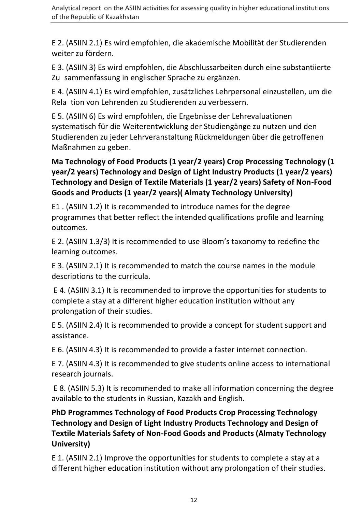E 2. (ASIIN 2.1) Es wird empfohlen, die akademische Mobilität der Studierenden weiter zu fördern.

E 3. (ASIIN 3) Es wird empfohlen, die Abschlussarbeiten durch eine substantiierte Zu-sammenfassung in englischer Sprache zu ergänzen.

E 4. (ASIIN 4.1) Es wird empfohlen, zusätzliches Lehrpersonal einzustellen, um die Rela-tion von Lehrenden zu Studierenden zu verbessern.

E 5. (ASIIN 6) Es wird empfohlen, die Ergebnisse der Lehrevaluationen systematisch für die Weiterentwicklung der Studiengänge zu nutzen und den Studierenden zu jeder Lehrveranstaltung Rückmeldungen über die getroffenen Maßnahmen zu geben.

## **Ма Technology of Food Products (1 year/2 years) Crop Processing Technology (1 year/2 years) Technology and Design of Light Industry Products (1 year/2 years) Technology and Design of Textile Materials (1 year/2 years) Safety of Non-Food Goods and Products (1 year/2 years)( Almaty Technology University)**

Е1 . (ASIIN 1.2) It is recommended to introduce names for the degree programmes that better reflect the intended qualifications profile and learning outcomes.

E 2. (ASIIN 1.3/3) It is recommended to use Bloom's taxonomy to redefine the learning outcomes.

E 3. (ASIIN 2.1) It is recommended to match the course names in the module descriptions to the curricula.

E 4. (ASIIN 3.1) It is recommended to improve the opportunities for students to complete a stay at a different higher education institution without any prolongation of their studies.

E 5. (ASIIN 2.4) It is recommended to provide a concept for student support and assistance.

E 6. (ASIIN 4.3) It is recommended to provide a faster internet connection.

E 7. (ASIIN 4.3) It is recommended to give students online access to international research journals.

E 8. (ASIIN 5.3) It is recommended to make all information concerning the degree available to the students in Russian, Kazakh and English.

## **PhD Programmes Technology of Food Products Crop Processing Technology Technology and Design of Light Industry Products Technology and Design of Textile Materials Safety of Non-Food Goods and Products (Almaty Technology University)**

E 1. (ASIIN 2.1) Improve the opportunities for students to complete a stay at a different higher education institution without any prolongation of their studies.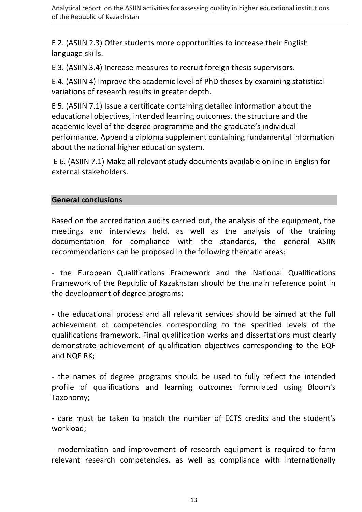E 2. (ASIIN 2.3) Offer students more opportunities to increase their English language skills.

E 3. (ASIIN 3.4) Increase measures to recruit foreign thesis supervisors.

E 4. (ASIIN 4) Improve the academic level of PhD theses by examining statistical variations of research results in greater depth.

E 5. (ASIIN 7.1) Issue a certificate containing detailed information about the educational objectives, intended learning outcomes, the structure and the academic level of the degree programme and the graduate's individual performance. Append a diploma supplement containing fundamental information about the national higher education system.

E 6. (ASIIN 7.1) Make all relevant study documents available online in English for external stakeholders.

#### **General conclusions**

Based on the accreditation audits carried out, the analysis of the equipment, the meetings and interviews held, as well as the analysis of the training documentation for compliance with the standards, the general ASIIN recommendations can be proposed in the following thematic areas:

- the European Qualifications Framework and the National Qualifications Framework of the Republic of Kazakhstan should be the main reference point in the development of degree programs;

- the educational process and all relevant services should be aimed at the full achievement of competencies corresponding to the specified levels of the qualifications framework. Final qualification works and dissertations must clearly demonstrate achievement of qualification objectives corresponding to the EQF and NQF RK;

- the names of degree programs should be used to fully reflect the intended profile of qualifications and learning outcomes formulated using Bloom's Taxonomy;

- care must be taken to match the number of ECTS credits and the student's workload;

- modernization and improvement of research equipment is required to form relevant research competencies, as well as compliance with internationally